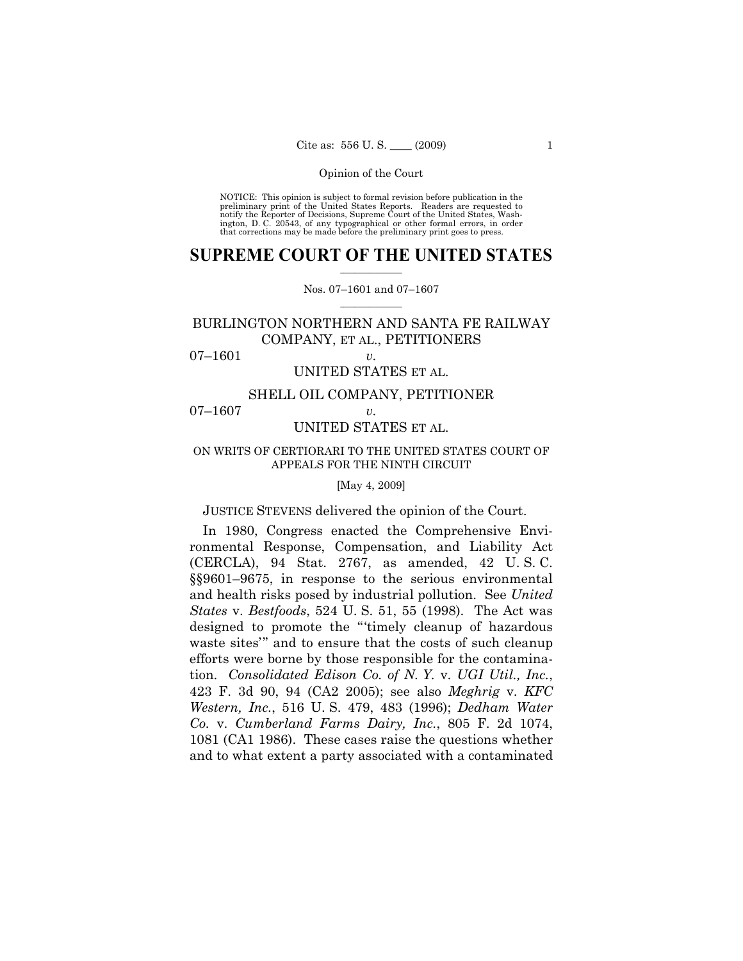NOTICE: This opinion is subject to formal revision before publication in the preliminary print of the United States Reports. Readers are requested to notify the Reporter of Decisions, Supreme Court of the United States, Washington, D. C. 20543, of any typographical or other formal errors, in order that corrections may be made before the preliminary print goes to press.

### **SUPREME COURT OF THE UNITED STATES**  $\frac{1}{2}$  , where  $\frac{1}{2}$

Nos. 07–1601 and 07–1607  $\frac{1}{2}$  ,  $\frac{1}{2}$  ,  $\frac{1}{2}$  ,  $\frac{1}{2}$  ,  $\frac{1}{2}$  ,  $\frac{1}{2}$ 

# BURLINGTON NORTHERN AND SANTA FE RAILWAY COMPANY, ET AL., PETITIONERS

07–1601 *v.*

### UNITED STATES ET AL.

### SHELL OIL COMPANY, PETITIONER

07–1607 *v.*

### UNITED STATES ET AL.

### ON WRITS OF CERTIORARI TO THE UNITED STATES COURT OF APPEALS FOR THE NINTH CIRCUIT

### [May 4, 2009]

# JUSTICE STEVENS delivered the opinion of the Court.

 In 1980, Congress enacted the Comprehensive Environmental Response, Compensation, and Liability Act (CERCLA), 94 Stat. 2767, as amended, 42 U. S. C. §§9601–9675, in response to the serious environmental and health risks posed by industrial pollution. See *United States* v. *Bestfoods*, 524 U. S. 51, 55 (1998). The Act was designed to promote the "'timely cleanup of hazardous waste sites'" and to ensure that the costs of such cleanup efforts were borne by those responsible for the contamination. *Consolidated Edison Co. of N. Y.* v. *UGI Util., Inc.*, 423 F. 3d 90, 94 (CA2 2005); see also *Meghrig* v. *KFC Western, Inc.*, 516 U. S. 479, 483 (1996); *Dedham Water Co.* v. *Cumberland Farms Dairy, Inc.*, 805 F. 2d 1074, 1081 (CA1 1986). These cases raise the questions whether and to what extent a party associated with a contaminated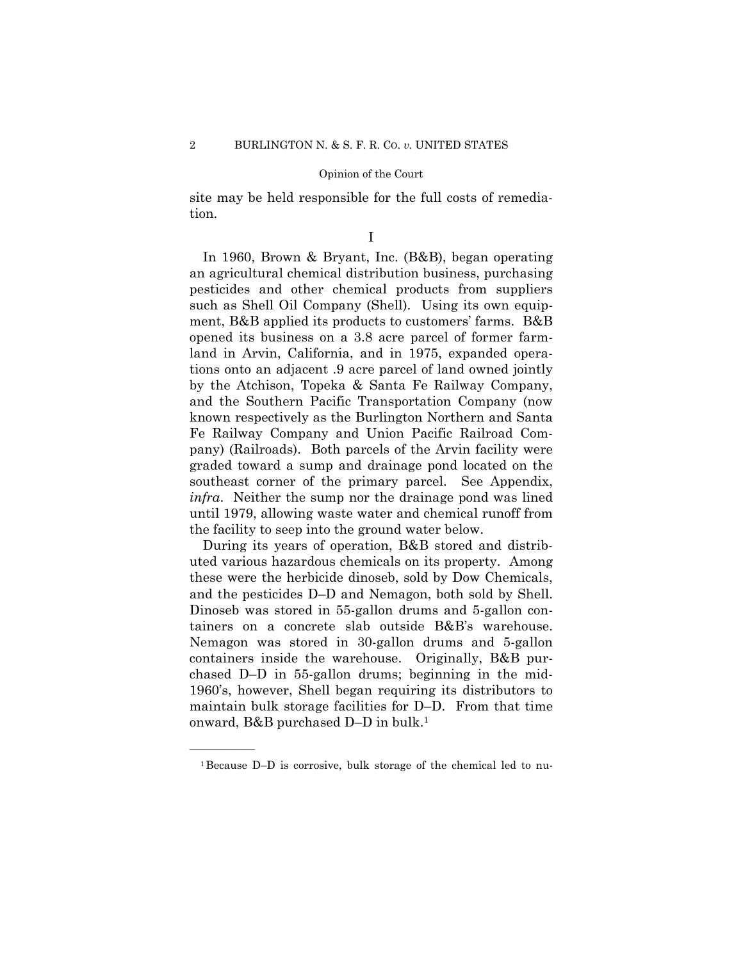site may be held responsible for the full costs of remediation.

I

 In 1960, Brown & Bryant, Inc. (B&B), began operating an agricultural chemical distribution business, purchasing pesticides and other chemical products from suppliers such as Shell Oil Company (Shell). Using its own equipment, B&B applied its products to customers' farms. B&B opened its business on a 3.8 acre parcel of former farmland in Arvin, California, and in 1975, expanded operations onto an adjacent .9 acre parcel of land owned jointly by the Atchison, Topeka & Santa Fe Railway Company, and the Southern Pacific Transportation Company (now known respectively as the Burlington Northern and Santa Fe Railway Company and Union Pacific Railroad Company) (Railroads). Both parcels of the Arvin facility were graded toward a sump and drainage pond located on the southeast corner of the primary parcel. See Appendix, *infra*. Neither the sump nor the drainage pond was lined until 1979, allowing waste water and chemical runoff from the facility to seep into the ground water below.

 During its years of operation, B&B stored and distributed various hazardous chemicals on its property. Among these were the herbicide dinoseb, sold by Dow Chemicals, and the pesticides D–D and Nemagon, both sold by Shell. Dinoseb was stored in 55-gallon drums and 5-gallon containers on a concrete slab outside B&B's warehouse. Nemagon was stored in 30-gallon drums and 5-gallon containers inside the warehouse. Originally, B&B purchased D–D in 55-gallon drums; beginning in the mid-1960's, however, Shell began requiring its distributors to maintain bulk storage facilities for D–D. From that time onward, B&B purchased D–D in bulk.1

<sup>1</sup>Because D–D is corrosive, bulk storage of the chemical led to nu-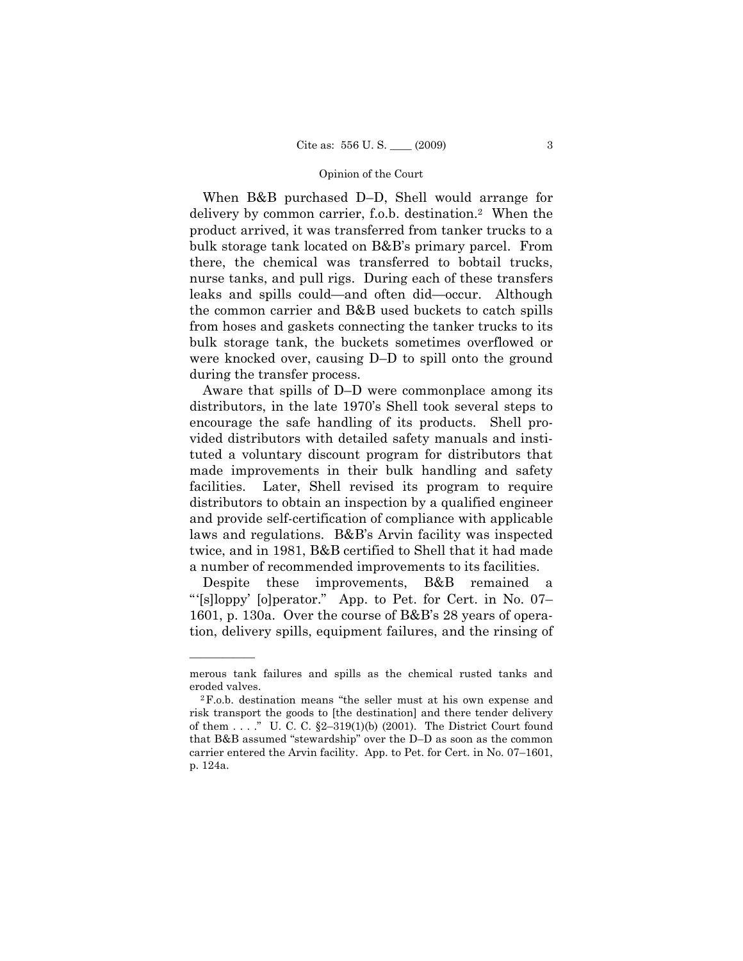When B&B purchased D–D, Shell would arrange for delivery by common carrier, f.o.b. destination.2 When the product arrived, it was transferred from tanker trucks to a bulk storage tank located on B&B's primary parcel. From there, the chemical was transferred to bobtail trucks, nurse tanks, and pull rigs. During each of these transfers leaks and spills could—and often did—occur. Although the common carrier and B&B used buckets to catch spills from hoses and gaskets connecting the tanker trucks to its bulk storage tank, the buckets sometimes overflowed or were knocked over, causing D–D to spill onto the ground during the transfer process.

 Aware that spills of D–D were commonplace among its distributors, in the late 1970's Shell took several steps to encourage the safe handling of its products. Shell provided distributors with detailed safety manuals and instituted a voluntary discount program for distributors that made improvements in their bulk handling and safety facilities. Later, Shell revised its program to require distributors to obtain an inspection by a qualified engineer and provide self-certification of compliance with applicable laws and regulations. B&B's Arvin facility was inspected twice, and in 1981, B&B certified to Shell that it had made a number of recommended improvements to its facilities.

 Despite these improvements, B&B remained a "'[s]loppy' [o]perator." App. to Pet. for Cert. in No. 07– 1601, p. 130a. Over the course of B&B's 28 years of operation, delivery spills, equipment failures, and the rinsing of

merous tank failures and spills as the chemical rusted tanks and eroded valves.<br><sup>2</sup>F.o.b. destination means "the seller must at his own expense and

risk transport the goods to [the destination] and there tender delivery of them . . . ." U. C. C.  $\S2-319(1)(b)$  (2001). The District Court found that B&B assumed "stewardship" over the D–D as soon as the common carrier entered the Arvin facility. App. to Pet. for Cert. in No. 07–1601, p. 124a.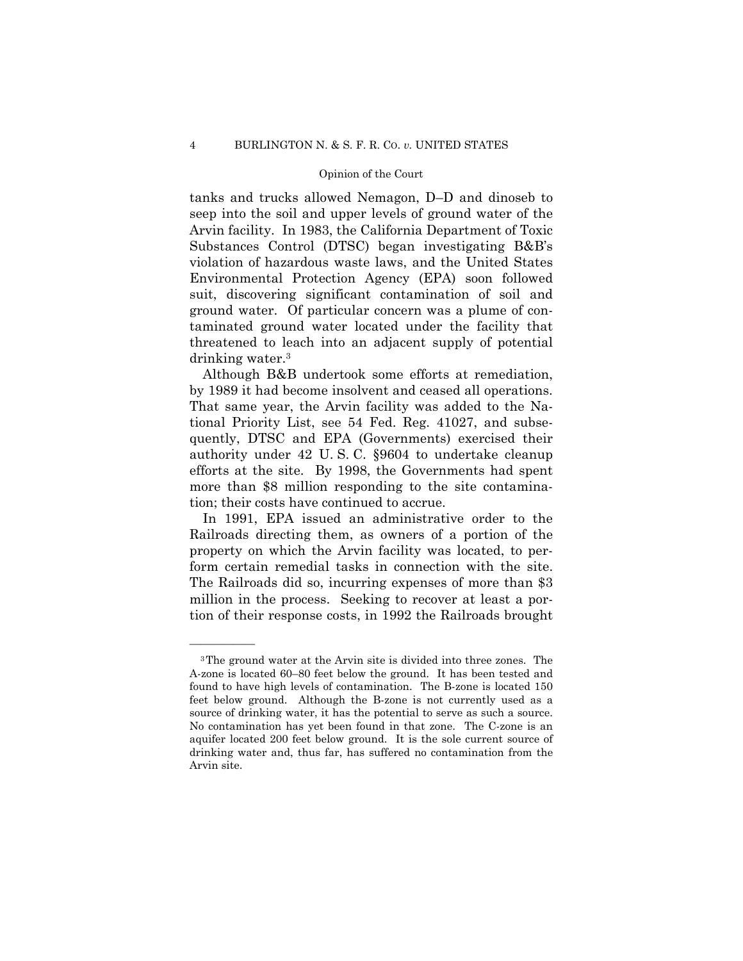tanks and trucks allowed Nemagon, D–D and dinoseb to seep into the soil and upper levels of ground water of the Arvin facility. In 1983, the California Department of Toxic Substances Control (DTSC) began investigating B&B's violation of hazardous waste laws, and the United States Environmental Protection Agency (EPA) soon followed suit, discovering significant contamination of soil and ground water. Of particular concern was a plume of contaminated ground water located under the facility that threatened to leach into an adjacent supply of potential drinking water.3

 Although B&B undertook some efforts at remediation, by 1989 it had become insolvent and ceased all operations. That same year, the Arvin facility was added to the National Priority List, see 54 Fed. Reg. 41027, and subsequently, DTSC and EPA (Governments) exercised their authority under 42 U. S. C. §9604 to undertake cleanup efforts at the site. By 1998, the Governments had spent more than \$8 million responding to the site contamination; their costs have continued to accrue.

 In 1991, EPA issued an administrative order to the Railroads directing them, as owners of a portion of the property on which the Arvin facility was located, to perform certain remedial tasks in connection with the site. The Railroads did so, incurring expenses of more than \$3 million in the process. Seeking to recover at least a portion of their response costs, in 1992 the Railroads brought

<sup>3</sup>The ground water at the Arvin site is divided into three zones. The A-zone is located 60–80 feet below the ground. It has been tested and found to have high levels of contamination. The B-zone is located 150 feet below ground. Although the B-zone is not currently used as a source of drinking water, it has the potential to serve as such a source. No contamination has yet been found in that zone. The C-zone is an aquifer located 200 feet below ground. It is the sole current source of drinking water and, thus far, has suffered no contamination from the Arvin site.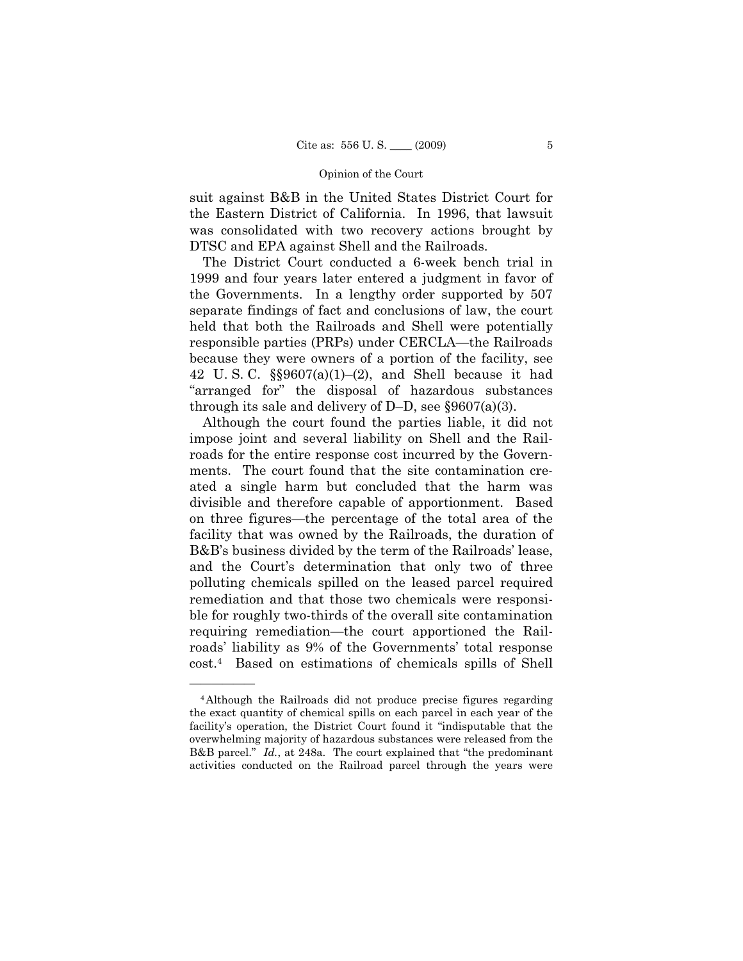suit against B&B in the United States District Court for the Eastern District of California. In 1996, that lawsuit was consolidated with two recovery actions brought by DTSC and EPA against Shell and the Railroads.

 The District Court conducted a 6-week bench trial in 1999 and four years later entered a judgment in favor of the Governments. In a lengthy order supported by 507 separate findings of fact and conclusions of law, the court held that both the Railroads and Shell were potentially responsible parties (PRPs) under CERCLA—the Railroads because they were owners of a portion of the facility, see 42 U.S.C.  $\S$  $\S 9607(a)(1)–(2)$ , and Shell because it had "arranged for" the disposal of hazardous substances through its sale and delivery of D–D, see  $\S 9607(a)(3)$ .

 Although the court found the parties liable, it did not impose joint and several liability on Shell and the Railroads for the entire response cost incurred by the Governments. The court found that the site contamination created a single harm but concluded that the harm was divisible and therefore capable of apportionment. Based on three figures—the percentage of the total area of the facility that was owned by the Railroads, the duration of B&B's business divided by the term of the Railroads' lease, and the Court's determination that only two of three polluting chemicals spilled on the leased parcel required remediation and that those two chemicals were responsible for roughly two-thirds of the overall site contamination requiring remediation—the court apportioned the Railroads' liability as 9% of the Governments' total response cost.4 Based on estimations of chemicals spills of Shell

<sup>4</sup>Although the Railroads did not produce precise figures regarding the exact quantity of chemical spills on each parcel in each year of the facility's operation, the District Court found it "indisputable that the overwhelming majority of hazardous substances were released from the B&B parcel." *Id.*, at 248a. The court explained that "the predominant activities conducted on the Railroad parcel through the years were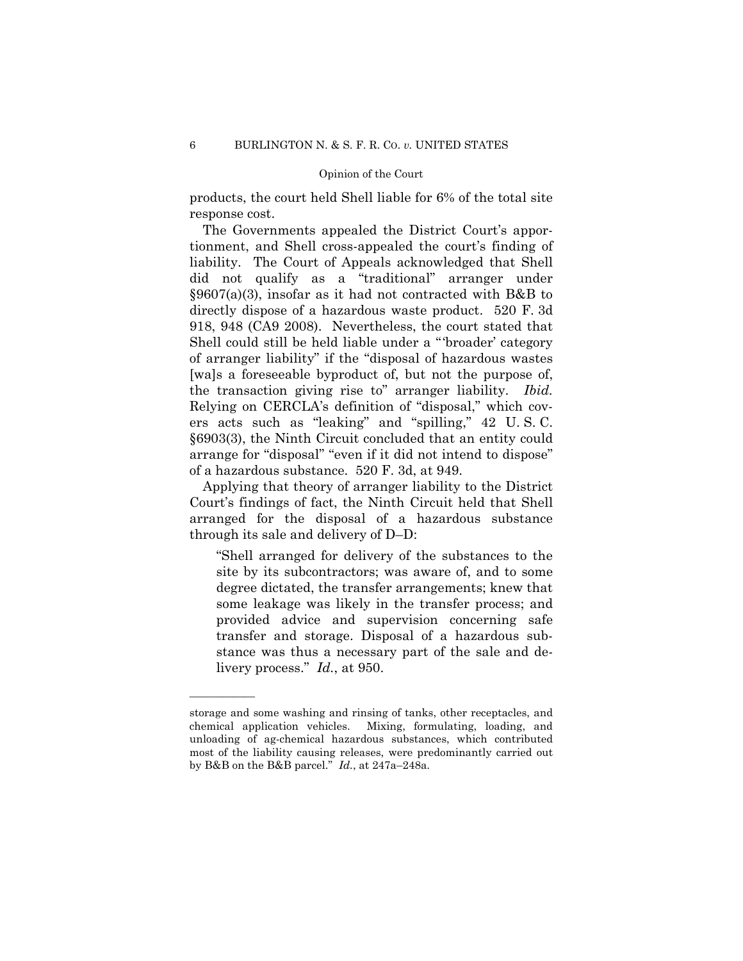products, the court held Shell liable for 6% of the total site response cost.

 The Governments appealed the District Court's apportionment, and Shell cross-appealed the court's finding of liability. The Court of Appeals acknowledged that Shell did not qualify as a "traditional" arranger under  $§9607(a)(3)$ , insofar as it had not contracted with B&B to directly dispose of a hazardous waste product. 520 F. 3d 918, 948 (CA9 2008). Nevertheless, the court stated that Shell could still be held liable under a "'broader' category of arranger liability" if the "disposal of hazardous wastes [wa]s a foreseeable byproduct of, but not the purpose of, the transaction giving rise to" arranger liability. *Ibid.* Relying on CERCLA's definition of "disposal," which covers acts such as "leaking" and "spilling," 42 U. S. C. §6903(3), the Ninth Circuit concluded that an entity could arrange for "disposal" "even if it did not intend to dispose" of a hazardous substance. 520 F. 3d, at 949.

 Applying that theory of arranger liability to the District Court's findings of fact, the Ninth Circuit held that Shell arranged for the disposal of a hazardous substance through its sale and delivery of D–D:

"Shell arranged for delivery of the substances to the site by its subcontractors; was aware of, and to some degree dictated, the transfer arrangements; knew that some leakage was likely in the transfer process; and provided advice and supervision concerning safe transfer and storage. Disposal of a hazardous substance was thus a necessary part of the sale and delivery process." *Id.*, at 950.

storage and some washing and rinsing of tanks, other receptacles, and chemical application vehicles. Mixing, formulating, loading, and unloading of ag-chemical hazardous substances, which contributed most of the liability causing releases, were predominantly carried out by B&B on the B&B parcel." *Id.*, at 247a–248a.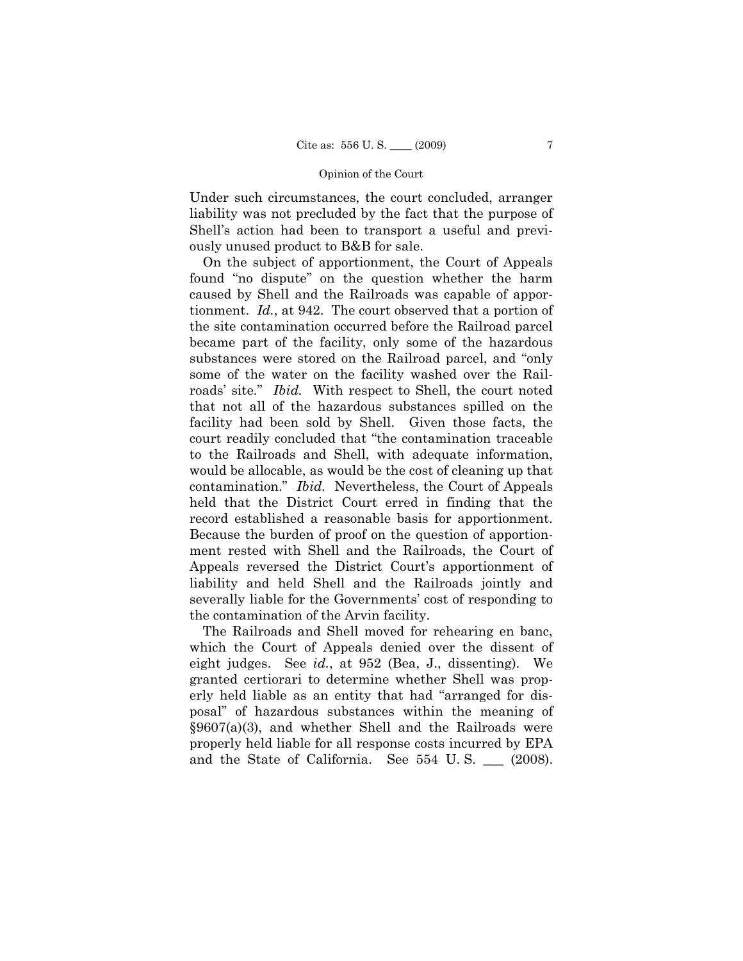Under such circumstances, the court concluded, arranger liability was not precluded by the fact that the purpose of Shell's action had been to transport a useful and previously unused product to B&B for sale.

 On the subject of apportionment, the Court of Appeals found "no dispute" on the question whether the harm caused by Shell and the Railroads was capable of apportionment. *Id.*, at 942. The court observed that a portion of the site contamination occurred before the Railroad parcel became part of the facility, only some of the hazardous substances were stored on the Railroad parcel, and "only some of the water on the facility washed over the Railroads' site." *Ibid.* With respect to Shell, the court noted that not all of the hazardous substances spilled on the facility had been sold by Shell. Given those facts, the court readily concluded that "the contamination traceable to the Railroads and Shell, with adequate information, would be allocable, as would be the cost of cleaning up that contamination." *Ibid.* Nevertheless, the Court of Appeals held that the District Court erred in finding that the record established a reasonable basis for apportionment. Because the burden of proof on the question of apportionment rested with Shell and the Railroads, the Court of Appeals reversed the District Court's apportionment of liability and held Shell and the Railroads jointly and severally liable for the Governments' cost of responding to the contamination of the Arvin facility.

 The Railroads and Shell moved for rehearing en banc, which the Court of Appeals denied over the dissent of eight judges. See *id.*, at 952 (Bea, J., dissenting). We granted certiorari to determine whether Shell was properly held liable as an entity that had "arranged for disposal" of hazardous substances within the meaning of §9607(a)(3), and whether Shell and the Railroads were properly held liable for all response costs incurred by EPA and the State of California. See 554 U.S. \_\_ (2008).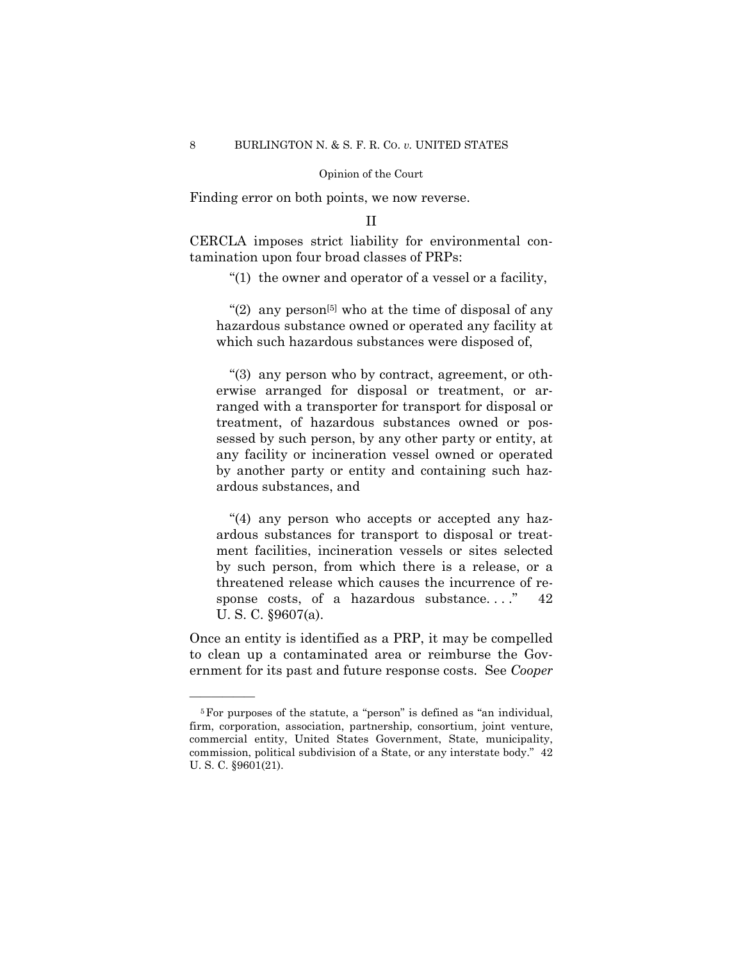Finding error on both points, we now reverse.

# II

CERCLA imposes strict liability for environmental contamination upon four broad classes of PRPs:

"(1) the owner and operator of a vessel or a facility,

"(2) any person<sup>[5]</sup> who at the time of disposal of any hazardous substance owned or operated any facility at which such hazardous substances were disposed of,

 "(3) any person who by contract, agreement, or otherwise arranged for disposal or treatment, or arranged with a transporter for transport for disposal or treatment, of hazardous substances owned or possessed by such person, by any other party or entity, at any facility or incineration vessel owned or operated by another party or entity and containing such hazardous substances, and

 "(4) any person who accepts or accepted any hazardous substances for transport to disposal or treatment facilities, incineration vessels or sites selected by such person, from which there is a release, or a threatened release which causes the incurrence of response costs, of a hazardous substance...."  $42$ U. S. C. §9607(a).

Once an entity is identified as a PRP, it may be compelled to clean up a contaminated area or reimburse the Government for its past and future response costs. See *Cooper* 

<sup>5</sup>For purposes of the statute, a "person" is defined as "an individual, firm, corporation, association, partnership, consortium, joint venture, commercial entity, United States Government, State, municipality, commission, political subdivision of a State, or any interstate body." 42 U. S. C. §9601(21).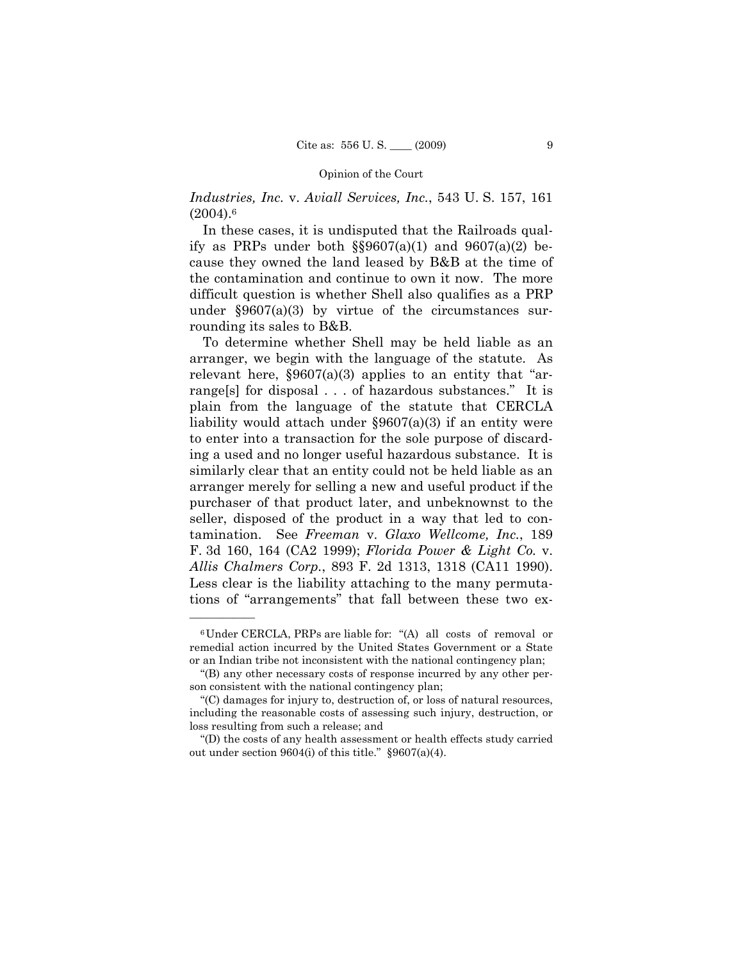*Industries, Inc.* v. *Aviall Services, Inc.*, 543 U. S. 157, 161  $(2004).<sup>6</sup>$ 

 In these cases, it is undisputed that the Railroads qualify as PRPs under both  $\S$ §9607(a)(1) and 9607(a)(2) because they owned the land leased by B&B at the time of the contamination and continue to own it now. The more difficult question is whether Shell also qualifies as a PRP under  $\S 9607(a)(3)$  by virtue of the circumstances surrounding its sales to B&B.

 To determine whether Shell may be held liable as an arranger, we begin with the language of the statute. As relevant here,  $\S 9607(a)(3)$  applies to an entity that "arrange[s] for disposal . . . of hazardous substances." It is plain from the language of the statute that CERCLA liability would attach under §9607(a)(3) if an entity were to enter into a transaction for the sole purpose of discarding a used and no longer useful hazardous substance. It is similarly clear that an entity could not be held liable as an arranger merely for selling a new and useful product if the purchaser of that product later, and unbeknownst to the seller, disposed of the product in a way that led to contamination. See *Freeman* v. *Glaxo Wellcome, Inc.*, 189 F. 3d 160, 164 (CA2 1999); *Florida Power & Light Co.* v. *Allis Chalmers Corp.*, 893 F. 2d 1313, 1318 (CA11 1990). Less clear is the liability attaching to the many permutations of "arrangements" that fall between these two ex-

<sup>6</sup>Under CERCLA, PRPs are liable for: "(A) all costs of removal or remedial action incurred by the United States Government or a State or an Indian tribe not inconsistent with the national contingency plan;

<sup>&</sup>quot;(B) any other necessary costs of response incurred by any other person consistent with the national contingency plan;

<sup>&</sup>quot;(C) damages for injury to, destruction of, or loss of natural resources, including the reasonable costs of assessing such injury, destruction, or loss resulting from such a release; and

<sup>&</sup>quot;(D) the costs of any health assessment or health effects study carried out under section 9604(i) of this title." §9607(a)(4).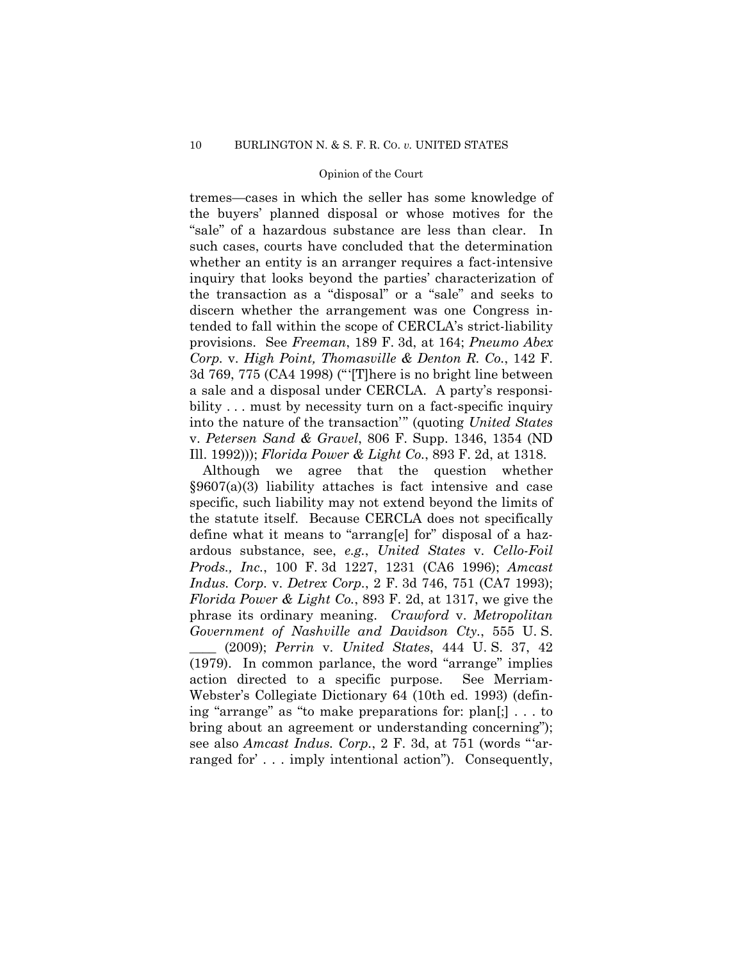tremes—cases in which the seller has some knowledge of the buyers' planned disposal or whose motives for the "sale" of a hazardous substance are less than clear. In such cases, courts have concluded that the determination whether an entity is an arranger requires a fact-intensive inquiry that looks beyond the parties' characterization of the transaction as a "disposal" or a "sale" and seeks to discern whether the arrangement was one Congress intended to fall within the scope of CERCLA's strict-liability provisions. See *Freeman*, 189 F. 3d, at 164; *Pneumo Abex Corp.* v. *High Point, Thomasville & Denton R. Co.*, 142 F. 3d 769, 775 (CA4 1998) ("'[T]here is no bright line between a sale and a disposal under CERCLA. A party's responsibility ... must by necessity turn on a fact-specific inquiry into the nature of the transaction'" (quoting *United States* v. *Petersen Sand & Gravel*, 806 F. Supp. 1346, 1354 (ND Ill. 1992))); *Florida Power & Light Co.*, 893 F. 2d, at 1318.

 Although we agree that the question whether  $§9607(a)(3)$  liability attaches is fact intensive and case specific, such liability may not extend beyond the limits of the statute itself. Because CERCLA does not specifically define what it means to "arrang[e] for" disposal of a hazardous substance, see, *e.g.*, *United States* v. *Cello-Foil Prods., Inc.*, 100 F. 3d 1227, 1231 (CA6 1996); *Amcast Indus. Corp.* v. *Detrex Corp.*, 2 F. 3d 746, 751 (CA7 1993); *Florida Power & Light Co.*, 893 F. 2d, at 1317, we give the phrase its ordinary meaning. *Crawford* v. *Metropolitan Government of Nashville and Davidson Cty.*, 555 U. S.

\_\_\_\_ (2009); *Perrin* v. *United States*, 444 U. S. 37, 42 (1979). In common parlance, the word "arrange" implies action directed to a specific purpose. See Merriam-Webster's Collegiate Dictionary 64 (10th ed. 1993) (defining "arrange" as "to make preparations for: plan[;] . . . to bring about an agreement or understanding concerning"); see also *Amcast Indus. Corp.*, 2 F. 3d, at 751 (words "'arranged for' . . . imply intentional action"). Consequently,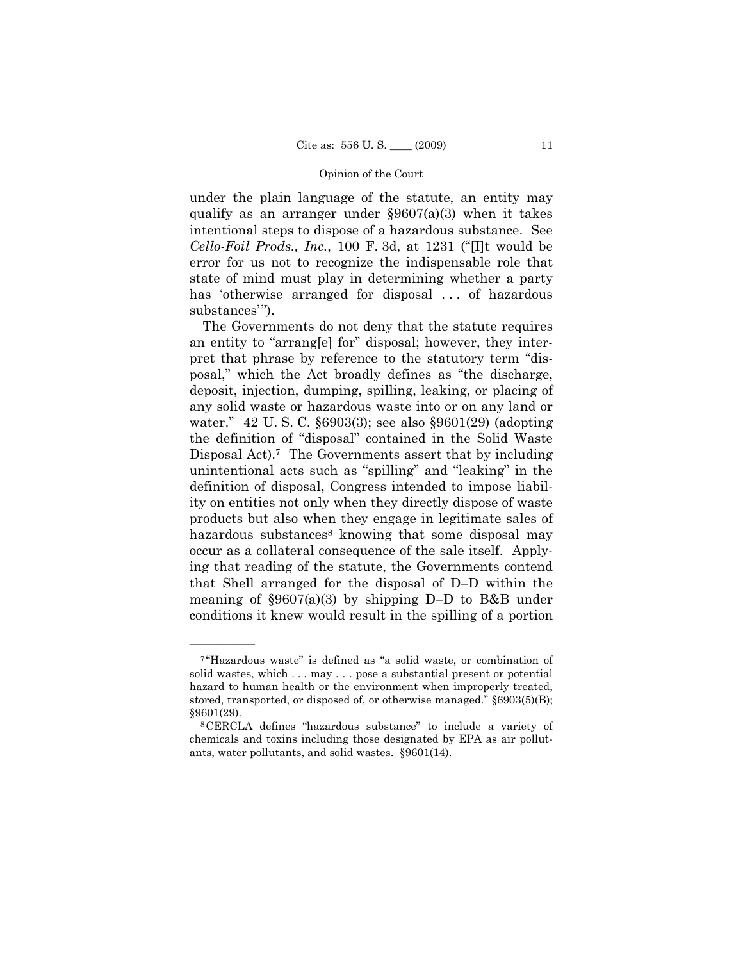under the plain language of the statute, an entity may qualify as an arranger under §9607(a)(3) when it takes intentional steps to dispose of a hazardous substance. See *Cello-Foil Prods., Inc.*, 100 F. 3d, at 1231 ("[I]t would be error for us not to recognize the indispensable role that state of mind must play in determining whether a party has 'otherwise arranged for disposal ... of hazardous substances'").

 The Governments do not deny that the statute requires an entity to "arrang[e] for" disposal; however, they interpret that phrase by reference to the statutory term "disposal," which the Act broadly defines as "the discharge, deposit, injection, dumping, spilling, leaking, or placing of any solid waste or hazardous waste into or on any land or water." 42 U. S. C. §6903(3); see also §9601(29) (adopting the definition of "disposal" contained in the Solid Waste Disposal Act).<sup>7</sup> The Governments assert that by including unintentional acts such as "spilling" and "leaking" in the definition of disposal, Congress intended to impose liability on entities not only when they directly dispose of waste products but also when they engage in legitimate sales of hazardous substances<sup>8</sup> knowing that some disposal may occur as a collateral consequence of the sale itself. Applying that reading of the statute, the Governments contend that Shell arranged for the disposal of D–D within the meaning of  $\S 9607(a)(3)$  by shipping D–D to B&B under conditions it knew would result in the spilling of a portion

<sup>7</sup> "Hazardous waste" is defined as "a solid waste, or combination of solid wastes, which . . . may . . . pose a substantial present or potential hazard to human health or the environment when improperly treated, stored, transported, or disposed of, or otherwise managed." §6903(5)(B);

<sup>§9601(29). 8</sup>CERCLA defines "hazardous substance" to include a variety of chemicals and toxins including those designated by EPA as air pollutants, water pollutants, and solid wastes. §9601(14).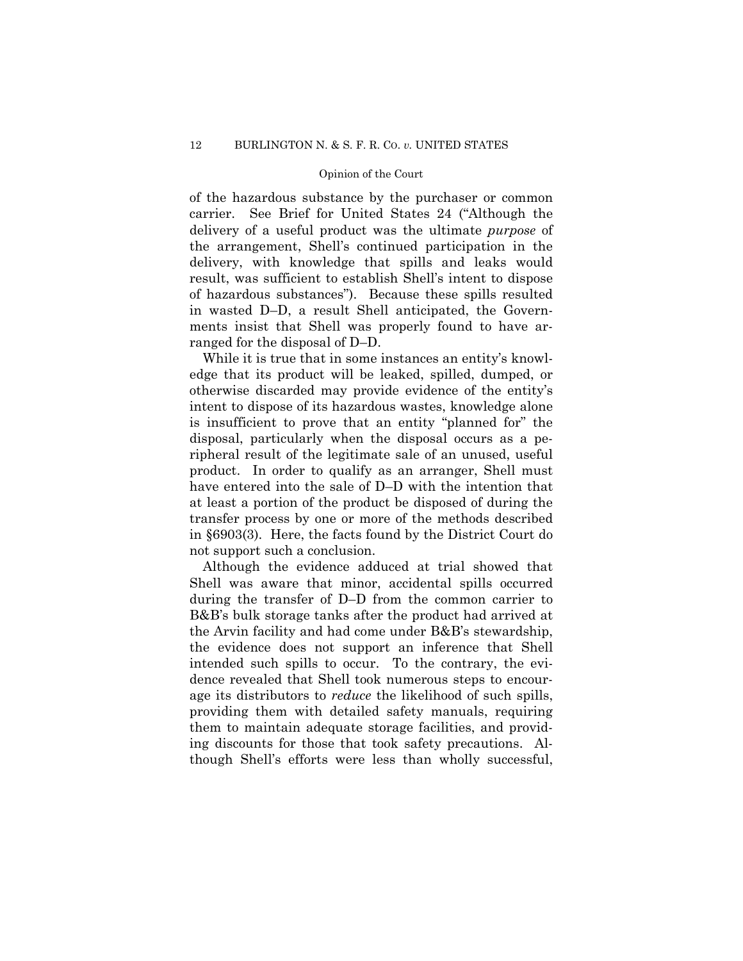of the hazardous substance by the purchaser or common carrier. See Brief for United States 24 ("Although the delivery of a useful product was the ultimate *purpose* of the arrangement, Shell's continued participation in the delivery, with knowledge that spills and leaks would result, was sufficient to establish Shell's intent to dispose of hazardous substances"). Because these spills resulted in wasted D–D, a result Shell anticipated, the Governments insist that Shell was properly found to have arranged for the disposal of D–D.

 While it is true that in some instances an entity's knowledge that its product will be leaked, spilled, dumped, or otherwise discarded may provide evidence of the entity's intent to dispose of its hazardous wastes, knowledge alone is insufficient to prove that an entity "planned for" the disposal, particularly when the disposal occurs as a peripheral result of the legitimate sale of an unused, useful product. In order to qualify as an arranger, Shell must have entered into the sale of D–D with the intention that at least a portion of the product be disposed of during the transfer process by one or more of the methods described in §6903(3). Here, the facts found by the District Court do not support such a conclusion.

 Although the evidence adduced at trial showed that Shell was aware that minor, accidental spills occurred during the transfer of D–D from the common carrier to B&B's bulk storage tanks after the product had arrived at the Arvin facility and had come under B&B's stewardship, the evidence does not support an inference that Shell intended such spills to occur. To the contrary, the evidence revealed that Shell took numerous steps to encourage its distributors to *reduce* the likelihood of such spills, providing them with detailed safety manuals, requiring them to maintain adequate storage facilities, and providing discounts for those that took safety precautions. Although Shell's efforts were less than wholly successful,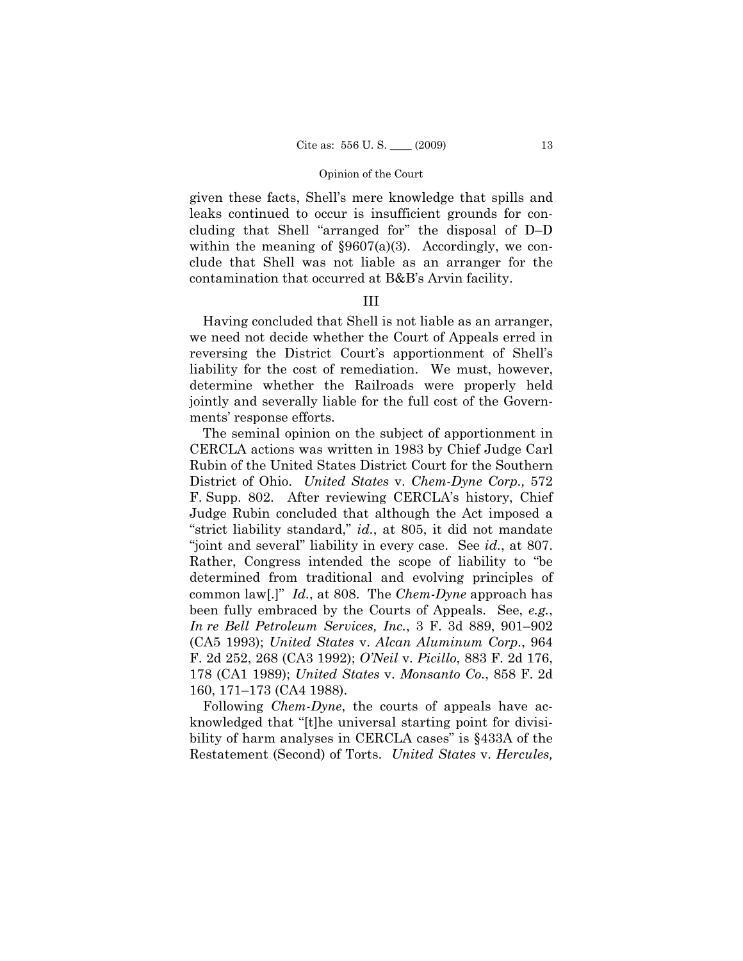given these facts, Shell's mere knowledge that spills and leaks continued to occur is insufficient grounds for concluding that Shell "arranged for" the disposal of D–D within the meaning of  $\S 9607(a)(3)$ . Accordingly, we conclude that Shell was not liable as an arranger for the contamination that occurred at B&B's Arvin facility.

### III

 Having concluded that Shell is not liable as an arranger, we need not decide whether the Court of Appeals erred in reversing the District Court's apportionment of Shell's liability for the cost of remediation. We must, however, determine whether the Railroads were properly held jointly and severally liable for the full cost of the Governments' response efforts.

 The seminal opinion on the subject of apportionment in CERCLA actions was written in 1983 by Chief Judge Carl Rubin of the United States District Court for the Southern District of Ohio. *United States* v. *Chem-Dyne Corp.,* 572 F. Supp. 802. After reviewing CERCLA's history, Chief Judge Rubin concluded that although the Act imposed a "strict liability standard," *id.*, at 805, it did not mandate "joint and several" liability in every case. See *id.*, at 807. Rather, Congress intended the scope of liability to "be determined from traditional and evolving principles of common law[.]" *Id.*, at 808. The *Chem-Dyne* approach has been fully embraced by the Courts of Appeals. See, *e.g.*, *In re Bell Petroleum Services, Inc.*, 3 F. 3d 889, 901–902 (CA5 1993); *United States* v. *Alcan Aluminum Corp.*, 964 F. 2d 252, 268 (CA3 1992); *O'Neil* v. *Picillo*, 883 F. 2d 176, 178 (CA1 1989); *United States* v. *Monsanto Co.*, 858 F. 2d 160, 171–173 (CA4 1988).

 Following *Chem-Dyne*, the courts of appeals have acknowledged that "[t]he universal starting point for divisibility of harm analyses in CERCLA cases" is §433A of the Restatement (Second) of Torts. *United States* v. *Hercules,*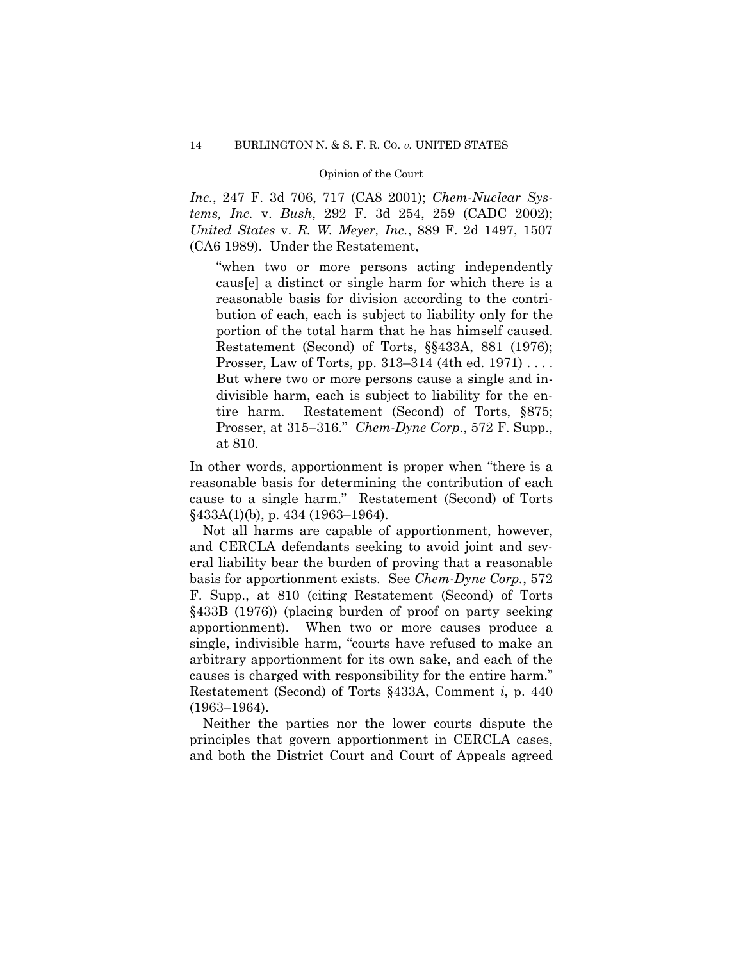*Inc.*, 247 F. 3d 706, 717 (CA8 2001); *Chem-Nuclear Systems, Inc.* v. *Bush*, 292 F. 3d 254, 259 (CADC 2002); *United States* v. *R. W. Meyer, Inc.*, 889 F. 2d 1497, 1507 (CA6 1989). Under the Restatement,

"when two or more persons acting independently caus[e] a distinct or single harm for which there is a reasonable basis for division according to the contribution of each, each is subject to liability only for the portion of the total harm that he has himself caused. Restatement (Second) of Torts, §§433A, 881 (1976); Prosser, Law of Torts, pp. 313–314 (4th ed. 1971) . . . . But where two or more persons cause a single and indivisible harm, each is subject to liability for the entire harm. Restatement (Second) of Torts, §875; Prosser, at 315–316." *Chem-Dyne Corp.*, 572 F. Supp., at 810.

In other words, apportionment is proper when "there is a reasonable basis for determining the contribution of each cause to a single harm." Restatement (Second) of Torts §433A(1)(b), p. 434 (1963–1964).

 Not all harms are capable of apportionment, however, and CERCLA defendants seeking to avoid joint and several liability bear the burden of proving that a reasonable basis for apportionment exists. See *Chem-Dyne Corp.*, 572 F. Supp., at 810 (citing Restatement (Second) of Torts §433B (1976)) (placing burden of proof on party seeking apportionment). When two or more causes produce a single, indivisible harm, "courts have refused to make an arbitrary apportionment for its own sake, and each of the causes is charged with responsibility for the entire harm." Restatement (Second) of Torts §433A, Comment *i*, p. 440 (1963–1964).

 Neither the parties nor the lower courts dispute the principles that govern apportionment in CERCLA cases, and both the District Court and Court of Appeals agreed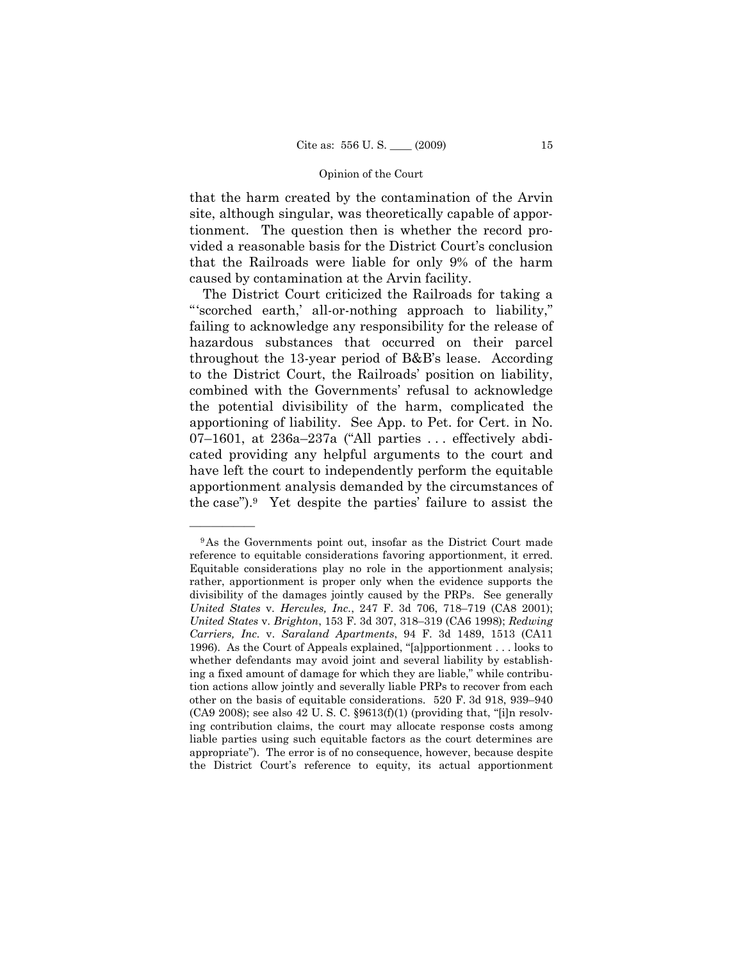that the harm created by the contamination of the Arvin site, although singular, was theoretically capable of apportionment. The question then is whether the record provided a reasonable basis for the District Court's conclusion that the Railroads were liable for only 9% of the harm caused by contamination at the Arvin facility.

 The District Court criticized the Railroads for taking a "'scorched earth,' all-or-nothing approach to liability," failing to acknowledge any responsibility for the release of hazardous substances that occurred on their parcel throughout the 13-year period of B&B's lease. According to the District Court, the Railroads' position on liability, combined with the Governments' refusal to acknowledge the potential divisibility of the harm, complicated the apportioning of liability. See App. to Pet. for Cert. in No. 07–1601, at 236a–237a ("All parties . . . effectively abdicated providing any helpful arguments to the court and have left the court to independently perform the equitable apportionment analysis demanded by the circumstances of the case"). $9$  Yet despite the parties' failure to assist the

<sup>9</sup>As the Governments point out, insofar as the District Court made reference to equitable considerations favoring apportionment, it erred. Equitable considerations play no role in the apportionment analysis; rather, apportionment is proper only when the evidence supports the divisibility of the damages jointly caused by the PRPs. See generally *United States* v. *Hercules, Inc.*, 247 F. 3d 706, 718–719 (CA8 2001); *United States* v. *Brighton*, 153 F. 3d 307, 318–319 (CA6 1998); *Redwing Carriers, Inc.* v. *Saraland Apartments*, 94 F. 3d 1489, 1513 (CA11 1996). As the Court of Appeals explained, "[a]pportionment . . . looks to whether defendants may avoid joint and several liability by establishing a fixed amount of damage for which they are liable," while contribution actions allow jointly and severally liable PRPs to recover from each other on the basis of equitable considerations. 520 F. 3d 918, 939–940 (CA9 2008); see also 42 U.S.C.  $$9613(f)(1)$  (providing that, "[i]n resolving contribution claims, the court may allocate response costs among liable parties using such equitable factors as the court determines are appropriate"). The error is of no consequence, however, because despite the District Court's reference to equity, its actual apportionment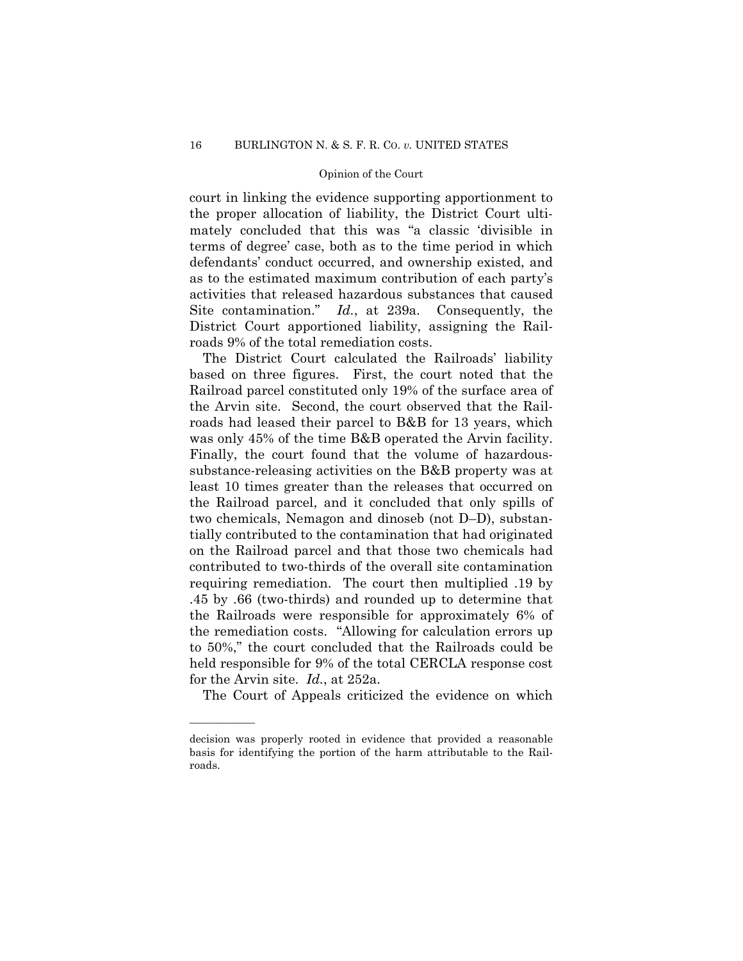court in linking the evidence supporting apportionment to the proper allocation of liability, the District Court ultimately concluded that this was "a classic 'divisible in terms of degree' case, both as to the time period in which defendants' conduct occurred, and ownership existed, and as to the estimated maximum contribution of each party's activities that released hazardous substances that caused Site contamination." *Id.*, at 239a. Consequently, the District Court apportioned liability, assigning the Railroads 9% of the total remediation costs.

 The District Court calculated the Railroads' liability based on three figures. First, the court noted that the Railroad parcel constituted only 19% of the surface area of the Arvin site. Second, the court observed that the Railroads had leased their parcel to B&B for 13 years, which was only 45% of the time B&B operated the Arvin facility. Finally, the court found that the volume of hazardoussubstance-releasing activities on the B&B property was at least 10 times greater than the releases that occurred on the Railroad parcel, and it concluded that only spills of two chemicals, Nemagon and dinoseb (not D–D), substantially contributed to the contamination that had originated on the Railroad parcel and that those two chemicals had contributed to two-thirds of the overall site contamination requiring remediation. The court then multiplied .19 by .45 by .66 (two-thirds) and rounded up to determine that the Railroads were responsible for approximately 6% of the remediation costs. "Allowing for calculation errors up to 50%," the court concluded that the Railroads could be held responsible for 9% of the total CERCLA response cost for the Arvin site. *Id.*, at 252a.

The Court of Appeals criticized the evidence on which

decision was properly rooted in evidence that provided a reasonable basis for identifying the portion of the harm attributable to the Railroads.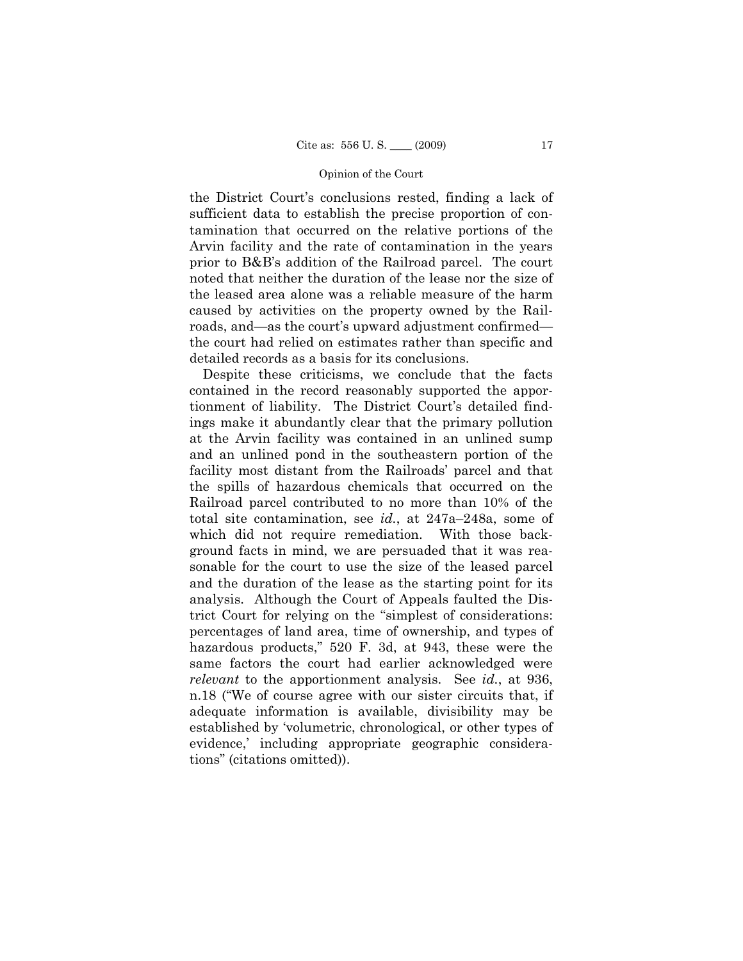the District Court's conclusions rested, finding a lack of sufficient data to establish the precise proportion of contamination that occurred on the relative portions of the Arvin facility and the rate of contamination in the years prior to B&B's addition of the Railroad parcel. The court noted that neither the duration of the lease nor the size of the leased area alone was a reliable measure of the harm caused by activities on the property owned by the Railroads, and—as the court's upward adjustment confirmed the court had relied on estimates rather than specific and detailed records as a basis for its conclusions.

 Despite these criticisms, we conclude that the facts contained in the record reasonably supported the apportionment of liability. The District Court's detailed findings make it abundantly clear that the primary pollution at the Arvin facility was contained in an unlined sump and an unlined pond in the southeastern portion of the facility most distant from the Railroads' parcel and that the spills of hazardous chemicals that occurred on the Railroad parcel contributed to no more than 10% of the total site contamination, see *id.*, at 247a–248a, some of which did not require remediation. With those background facts in mind, we are persuaded that it was reasonable for the court to use the size of the leased parcel and the duration of the lease as the starting point for its analysis. Although the Court of Appeals faulted the District Court for relying on the "simplest of considerations: percentages of land area, time of ownership, and types of hazardous products," 520 F. 3d, at 943, these were the same factors the court had earlier acknowledged were *relevant* to the apportionment analysis. See *id.*, at 936, n.18 ("We of course agree with our sister circuits that, if adequate information is available, divisibility may be established by 'volumetric, chronological, or other types of evidence,' including appropriate geographic considerations" (citations omitted)).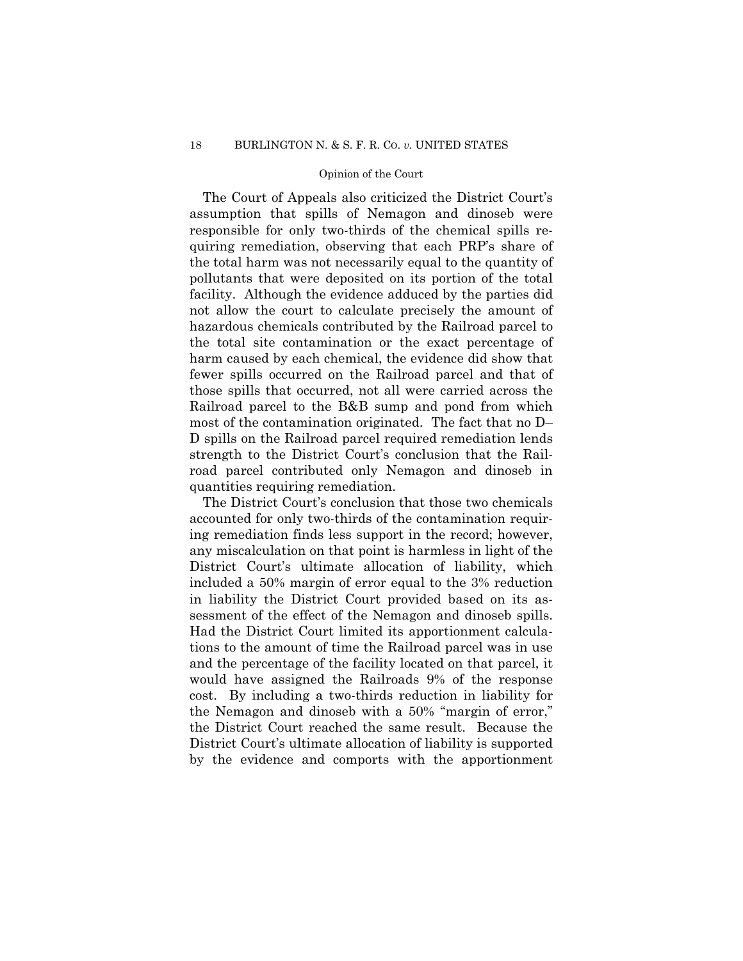The Court of Appeals also criticized the District Court's assumption that spills of Nemagon and dinoseb were responsible for only two-thirds of the chemical spills requiring remediation, observing that each PRP's share of the total harm was not necessarily equal to the quantity of pollutants that were deposited on its portion of the total facility. Although the evidence adduced by the parties did not allow the court to calculate precisely the amount of hazardous chemicals contributed by the Railroad parcel to the total site contamination or the exact percentage of harm caused by each chemical, the evidence did show that fewer spills occurred on the Railroad parcel and that of those spills that occurred, not all were carried across the Railroad parcel to the B&B sump and pond from which most of the contamination originated. The fact that no D– D spills on the Railroad parcel required remediation lends strength to the District Court's conclusion that the Railroad parcel contributed only Nemagon and dinoseb in quantities requiring remediation.

 The District Court's conclusion that those two chemicals accounted for only two-thirds of the contamination requiring remediation finds less support in the record; however, any miscalculation on that point is harmless in light of the District Court's ultimate allocation of liability, which included a 50% margin of error equal to the 3% reduction in liability the District Court provided based on its assessment of the effect of the Nemagon and dinoseb spills. Had the District Court limited its apportionment calculations to the amount of time the Railroad parcel was in use and the percentage of the facility located on that parcel, it would have assigned the Railroads 9% of the response cost. By including a two-thirds reduction in liability for the Nemagon and dinoseb with a 50% "margin of error," the District Court reached the same result. Because the District Court's ultimate allocation of liability is supported by the evidence and comports with the apportionment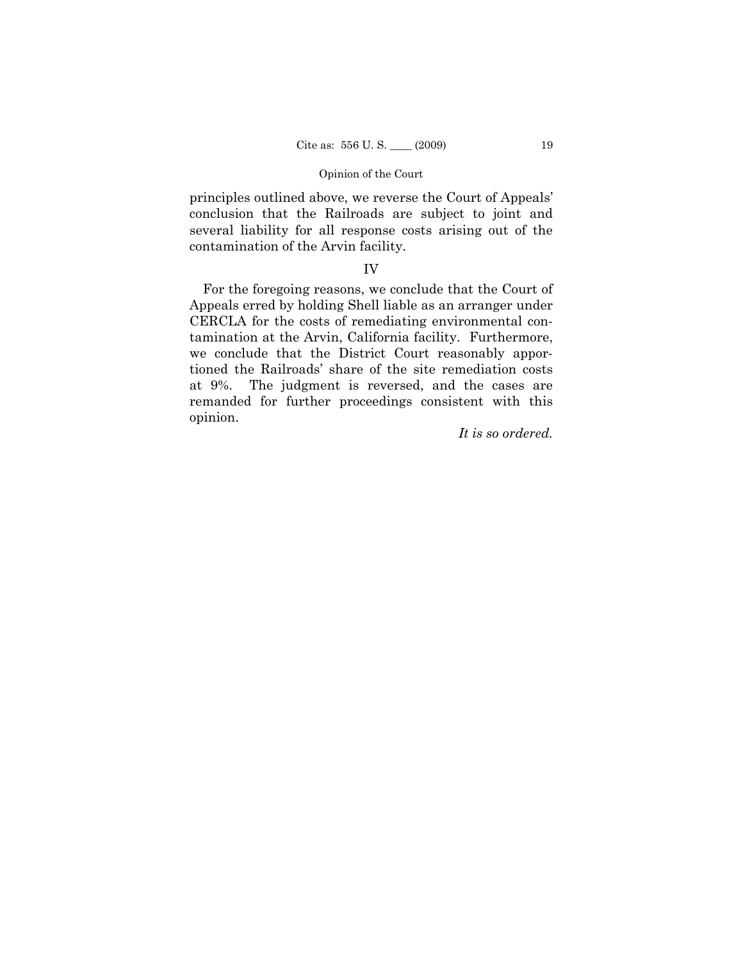principles outlined above, we reverse the Court of Appeals' conclusion that the Railroads are subject to joint and several liability for all response costs arising out of the contamination of the Arvin facility.

### IV

 For the foregoing reasons, we conclude that the Court of Appeals erred by holding Shell liable as an arranger under CERCLA for the costs of remediating environmental contamination at the Arvin, California facility. Furthermore, we conclude that the District Court reasonably apportioned the Railroads' share of the site remediation costs at 9%. The judgment is reversed, and the cases are remanded for further proceedings consistent with this opinion.

*It is so ordered.*